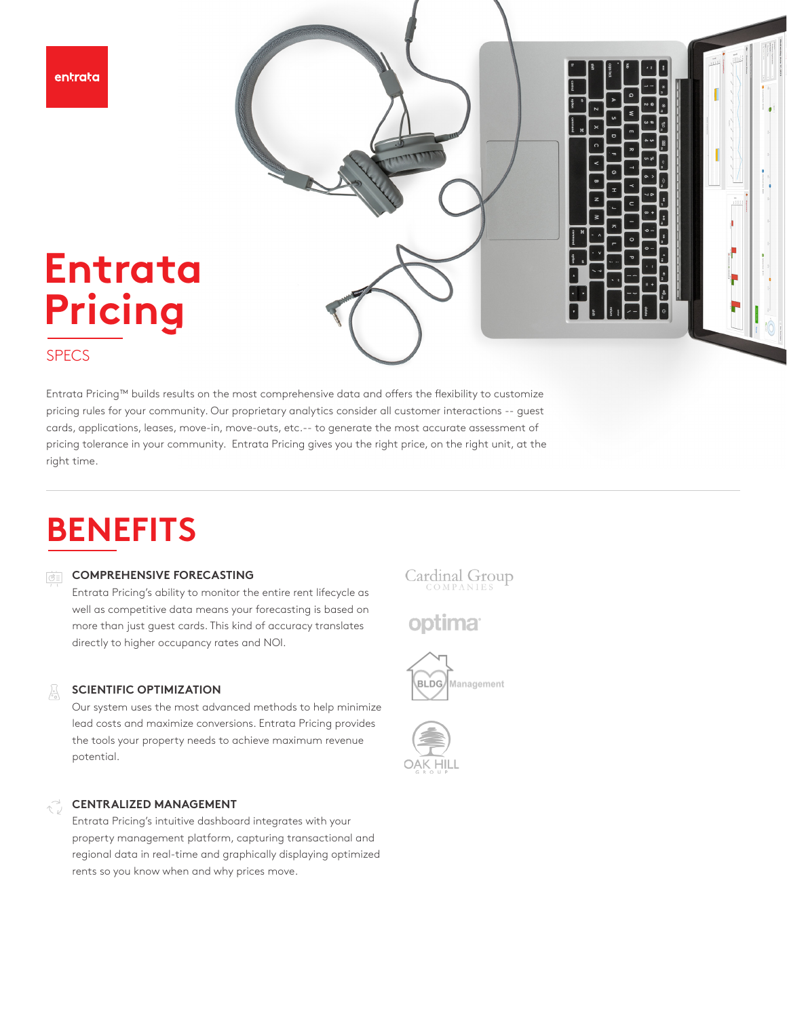entrata



### SPECS

Entrata Pricing™ builds results on the most comprehensive data and offers the flexibility to customize pricing rules for your community. Our proprietary analytics consider all customer interactions -- guest cards, applications, leases, move-in, move-outs, etc.-- to generate the most accurate assessment of pricing tolerance in your community. Entrata Pricing gives you the right price, on the right unit, at the right time.

# **BENEFITS**

#### **COMPREHENSIVE FORECASTING**

Entrata Pricing's ability to monitor the entire rent lifecycle as well as competitive data means your forecasting is based on more than just guest cards. This kind of accuracy translates directly to higher occupancy rates and NOI.

#### **SCIENTIFIC OPTIMIZATION**   $\frac{1}{\sqrt{2}}$

Our system uses the most advanced methods to help minimize lead costs and maximize conversions. Entrata Pricing provides the tools your property needs to achieve maximum revenue potential.

#### **CENTRALIZED MANAGEMENT**

Entrata Pricing's intuitive dashboard integrates with your property management platform, capturing transactional and regional data in real-time and graphically displaying optimized rents so you know when and why prices move.

# Cardinal Group

optima<sup>®</sup>